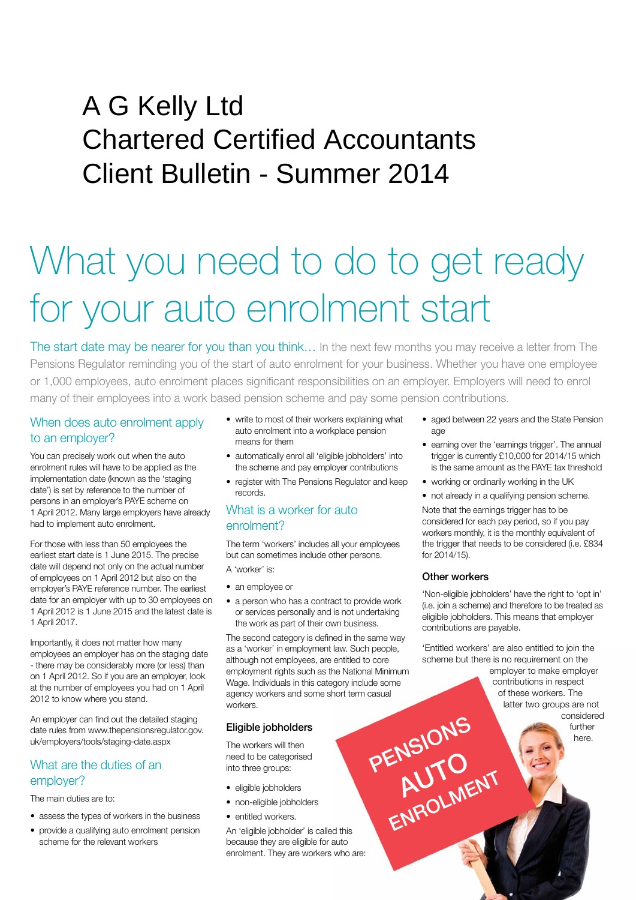# A G Kelly Ltd Chartered Certified Accountants Client Bulletin - Summer 2014

# What you need to do to get ready for your auto enrolment start

The start date may be nearer for you than you think… In the next few months you may receive a letter from The Pensions Regulator reminding you of the start of auto enrolment for your business. Whether you have one employee or 1,000 employees, auto enrolment places significant responsibilities on an employer. Employers will need to enrol many of their employees into a work based pension scheme and pay some pension contributions.

# When does auto enrolment apply to an employer?

You can precisely work out when the auto enrolment rules will have to be applied as the implementation date (known as the 'staging date') is set by reference to the number of persons in an employer's PAYE scheme on 1 April 2012. Many large employers have already had to implement auto enrolment.

For those with less than 50 employees the earliest start date is 1 June 2015. The precise date will depend not only on the actual number of employees on 1 April 2012 but also on the employer's PAYE reference number. The earliest date for an employer with up to 30 employees on 1 April 2012 is 1 June 2015 and the latest date is 1 April 2017.

Importantly, it does not matter how many employees an employer has on the staging date - there may be considerably more (or less) than on 1 April 2012. So if you are an employer, look at the number of employees you had on 1 April 2012 to know where you stand.

An employer can find out the detailed staging date rules from www.thepensionsregulator.gov. uk/employers/tools/staging-date.aspx

# What are the duties of an employer?

The main duties are to:

- assess the types of workers in the business
- provide a qualifying auto enrolment pension scheme for the relevant workers
- write to most of their workers explaining what auto enrolment into a workplace pension means for them
- automatically enrol all 'eligible jobholders' into the scheme and pay employer contributions
- register with The Pensions Regulator and keep records.

# What is a worker for auto enrolment?

The term 'workers' includes all your employees but can sometimes include other persons. A 'worker' is:

- an employee or
- a person who has a contract to provide work or services personally and is not undertaking the work as part of their own business.

The second category is defined in the same way as a 'worker' in employment law. Such people, although not employees, are entitled to core employment rights such as the National Minimum Wage. Individuals in this category include some agency workers and some short term casual workers.

# Eligible jobholders

The workers will then need to be categorised into three groups:

- eligible jobholders
	- non-eligible jobholders
	- entitled workers.

An 'eligible jobholder' is called this because they are eligible for auto enrolment. They are workers who are:

- aged between 22 years and the State Pension age
- earning over the 'earnings trigger'. The annual trigger is currently £10,000 for 2014/15 which is the same amount as the PAYE tax threshold
- working or ordinarily working in the UK
- not already in a qualifying pension scheme.

Note that the earnings trigger has to be considered for each pay period, so if you pay workers monthly, it is the monthly equivalent of the trigger that needs to be considered (i.e. £834 for 2014/15).

#### Other workers

AUTO

ENROLMENT

'Non-eligible jobholders' have the right to 'opt in' (i.e. join a scheme) and therefore to be treated as eligible jobholders. This means that employer contributions are payable.

'Entitled workers' are also entitled to join the scheme but there is no requirement on the

employer to make employer contributions in respect of these workers. The latter two groups are not considered further PENSIONS